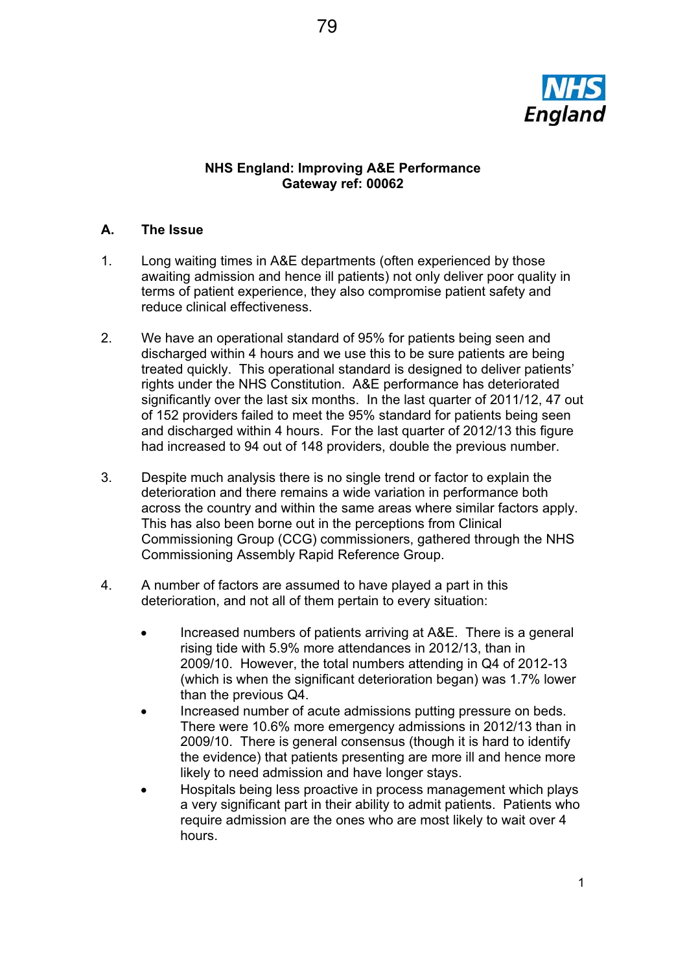

# **NHS England: Improving A&E Performance Gateway ref: 00062**

# **A. The Issue**

- 1. Long waiting times in A&E departments (often experienced by those awaiting admission and hence ill patients) not only deliver poor quality in terms of patient experience, they also compromise patient safety and reduce clinical effectiveness.
- 2. We have an operational standard of 95% for patients being seen and discharged within 4 hours and we use this to be sure patients are being treated quickly. This operational standard is designed to deliver patients' rights under the NHS Constitution. A&E performance has deteriorated significantly over the last six months. In the last quarter of 2011/12, 47 out of 152 providers failed to meet the 95% standard for patients being seen and discharged within 4 hours. For the last quarter of 2012/13 this figure had increased to 94 out of 148 providers, double the previous number.
- 3. Despite much analysis there is no single trend or factor to explain the deterioration and there remains a wide variation in performance both across the country and within the same areas where similar factors apply. This has also been borne out in the perceptions from Clinical Commissioning Group (CCG) commissioners, gathered through the NHS Commissioning Assembly Rapid Reference Group.
- 4. A number of factors are assumed to have played a part in this deterioration, and not all of them pertain to every situation:
	- Increased numbers of patients arriving at A&E. There is a general rising tide with 5.9% more attendances in 2012/13, than in 2009/10. However, the total numbers attending in Q4 of 2012-13 (which is when the significant deterioration began) was 1.7% lower than the previous Q4.
	- Increased number of acute admissions putting pressure on beds. There were 10.6% more emergency admissions in 2012/13 than in 2009/10. There is general consensus (though it is hard to identify the evidence) that patients presenting are more ill and hence more likely to need admission and have longer stays.
	- Hospitals being less proactive in process management which plays a very significant part in their ability to admit patients. Patients who require admission are the ones who are most likely to wait over 4 hours.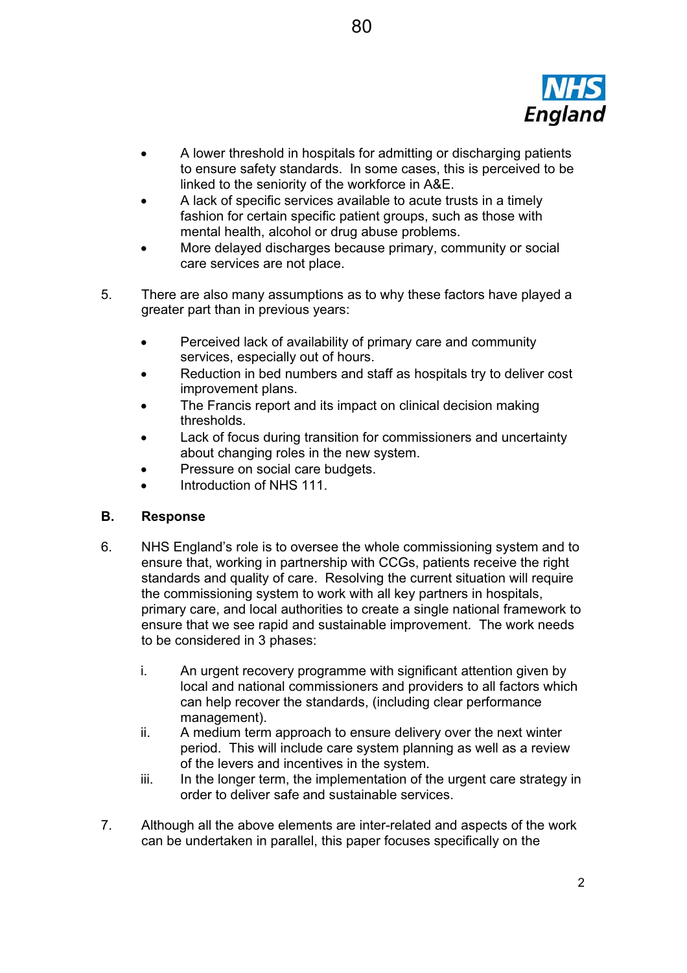

- A lower threshold in hospitals for admitting or discharging patients to ensure safety standards. In some cases, this is perceived to be linked to the seniority of the workforce in A&E.
- A lack of specific services available to acute trusts in a timely fashion for certain specific patient groups, such as those with mental health, alcohol or drug abuse problems.
- More delayed discharges because primary, community or social care services are not place.
- 5. There are also many assumptions as to why these factors have played a greater part than in previous years:
	- **•** Perceived lack of availability of primary care and community services, especially out of hours.
	- Reduction in bed numbers and staff as hospitals try to deliver cost improvement plans.
	- The Francis report and its impact on clinical decision making thresholds.
	- Lack of focus during transition for commissioners and uncertainty about changing roles in the new system.
	- Pressure on social care budgets.
	- Introduction of NHS 111.

# **B. Response**

- 6. NHS England's role is to oversee the whole commissioning system and to ensure that, working in partnership with CCGs, patients receive the right standards and quality of care. Resolving the current situation will require the commissioning system to work with all key partners in hospitals, primary care, and local authorities to create a single national framework to ensure that we see rapid and sustainable improvement. The work needs to be considered in 3 phases:
	- i. An urgent recovery programme with significant attention given by local and national commissioners and providers to all factors which can help recover the standards, (including clear performance management).
	- ii. A medium term approach to ensure delivery over the next winter period. This will include care system planning as well as a review of the levers and incentives in the system.
	- iii. In the longer term, the implementation of the urgent care strategy in order to deliver safe and sustainable services.
- 7. Although all the above elements are inter-related and aspects of the work can be undertaken in parallel, this paper focuses specifically on the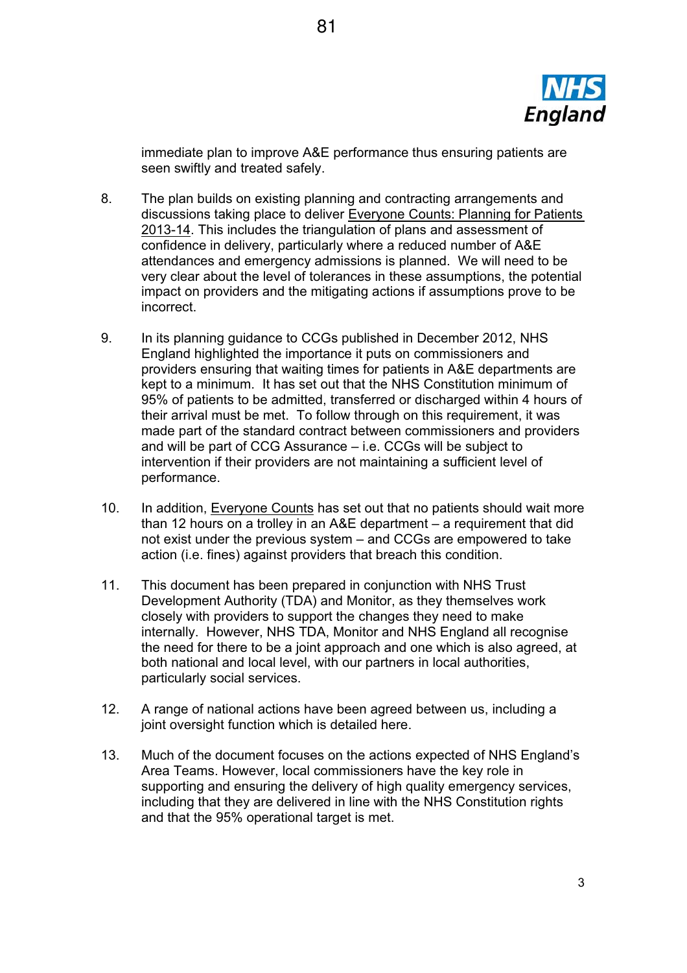

immediate plan to improve A&E performance thus ensuring patients are seen swiftly and treated safely.

- 8. The plan builds on existing planning and contracting arrangements and discussions taking place to deliver Everyone Counts: Planning for Patients 2013-14. This includes the triangulation of plans and assessment of confidence in delivery, particularly where a reduced number of A&E attendances and emergency admissions is planned. We will need to be very clear about the level of tolerances in these assumptions, the potential impact on providers and the mitigating actions if assumptions prove to be incorrect.
- 9. In its planning guidance to CCGs published in December 2012, NHS England highlighted the importance it puts on commissioners and providers ensuring that waiting times for patients in A&E departments are kept to a minimum. It has set out that the NHS Constitution minimum of 95% of patients to be admitted, transferred or discharged within 4 hours of their arrival must be met. To follow through on this requirement, it was made part of the standard contract between commissioners and providers and will be part of CCG Assurance – i.e. CCGs will be subject to intervention if their providers are not maintaining a sufficient level of performance.
- 10. In addition, Everyone Counts has set out that no patients should wait more than 12 hours on a trolley in an A&E department – a requirement that did not exist under the previous system – and CCGs are empowered to take action (i.e. fines) against providers that breach this condition.
- 11. This document has been prepared in conjunction with NHS Trust Development Authority (TDA) and Monitor, as they themselves work closely with providers to support the changes they need to make internally. However, NHS TDA, Monitor and NHS England all recognise the need for there to be a joint approach and one which is also agreed, at both national and local level, with our partners in local authorities, particularly social services.
- 12. A range of national actions have been agreed between us, including a joint oversight function which is detailed here.
- 13. Much of the document focuses on the actions expected of NHS England's Area Teams. However, local commissioners have the key role in supporting and ensuring the delivery of high quality emergency services, including that they are delivered in line with the NHS Constitution rights and that the 95% operational target is met.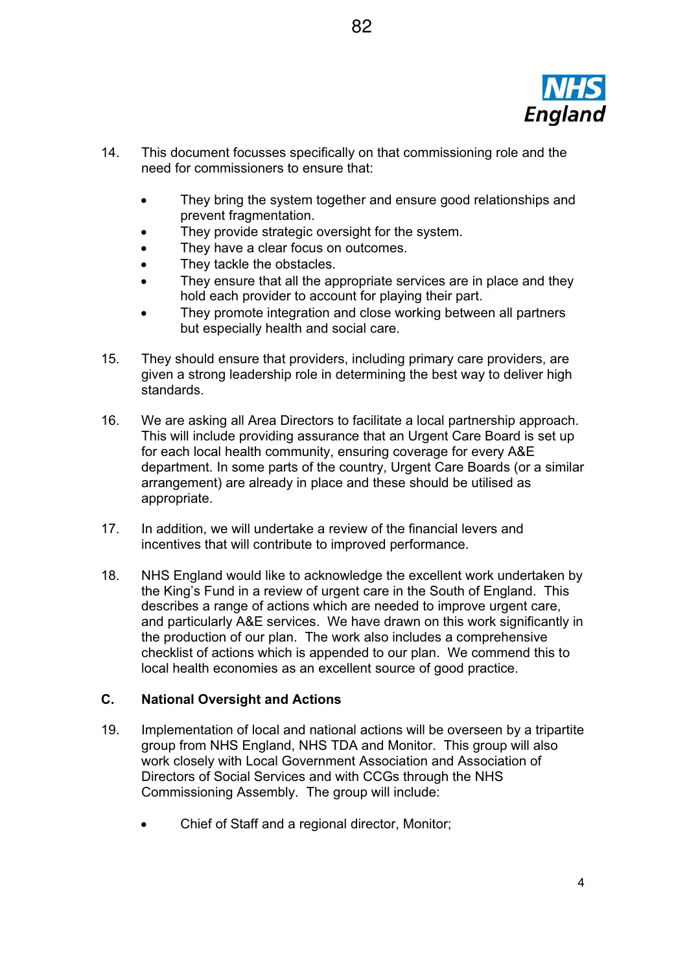

- 14. This document focusses specifically on that commissioning role and the need for commissioners to ensure that:
	- They bring the system together and ensure good relationships and prevent fragmentation.

82

- They provide strategic oversight for the system.
- They have a clear focus on outcomes.
- They tackle the obstacles.
- They ensure that all the appropriate services are in place and they hold each provider to account for playing their part.
- They promote integration and close working between all partners but especially health and social care.
- 15. They should ensure that providers, including primary care providers, are given a strong leadership role in determining the best way to deliver high standards.
- 16. We are asking all Area Directors to facilitate a local partnership approach. This will include providing assurance that an Urgent Care Board is set up for each local health community, ensuring coverage for every A&E department. In some parts of the country, Urgent Care Boards (or a similar arrangement) are already in place and these should be utilised as appropriate.
- 17. In addition, we will undertake a review of the financial levers and incentives that will contribute to improved performance.
- 18. NHS England would like to acknowledge the excellent work undertaken by the King's Fund in a review of urgent care in the South of England. This describes a range of actions which are needed to improve urgent care, and particularly A&E services. We have drawn on this work significantly in the production of our plan. The work also includes a comprehensive checklist of actions which is appended to our plan. We commend this to local health economies as an excellent source of good practice.

#### **C. National Oversight and Actions**

- 19. Implementation of local and national actions will be overseen by a tripartite group from NHS England, NHS TDA and Monitor. This group will also work closely with Local Government Association and Association of Directors of Social Services and with CCGs through the NHS Commissioning Assembly. The group will include:
	- Chief of Staff and a regional director, Monitor;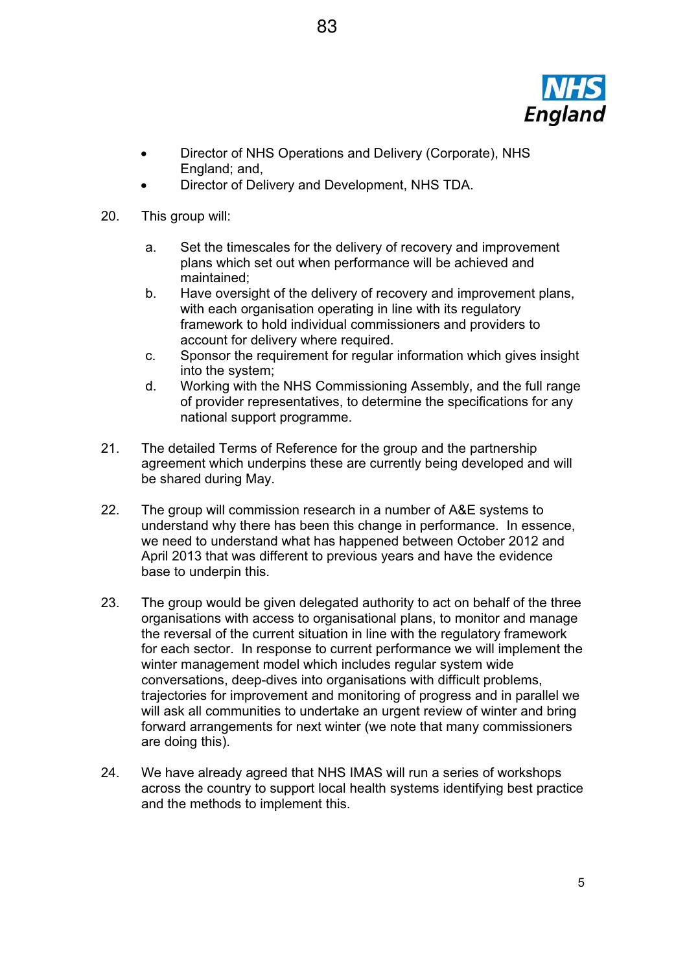

- Director of NHS Operations and Delivery (Corporate), NHS England; and,
- Director of Delivery and Development, NHS TDA.
- 20. This group will:
	- a. Set the timescales for the delivery of recovery and improvement plans which set out when performance will be achieved and maintained;
	- b. Have oversight of the delivery of recovery and improvement plans, with each organisation operating in line with its regulatory framework to hold individual commissioners and providers to account for delivery where required.
	- c. Sponsor the requirement for regular information which gives insight into the system;
	- d. Working with the NHS Commissioning Assembly, and the full range of provider representatives, to determine the specifications for any national support programme.
- 21. The detailed Terms of Reference for the group and the partnership agreement which underpins these are currently being developed and will be shared during May.
- 22. The group will commission research in a number of A&E systems to understand why there has been this change in performance. In essence, we need to understand what has happened between October 2012 and April 2013 that was different to previous years and have the evidence base to underpin this.
- 23. The group would be given delegated authority to act on behalf of the three organisations with access to organisational plans, to monitor and manage the reversal of the current situation in line with the regulatory framework for each sector. In response to current performance we will implement the winter management model which includes regular system wide conversations, deep-dives into organisations with difficult problems, trajectories for improvement and monitoring of progress and in parallel we will ask all communities to undertake an urgent review of winter and bring forward arrangements for next winter (we note that many commissioners are doing this).
- 24. We have already agreed that NHS IMAS will run a series of workshops across the country to support local health systems identifying best practice and the methods to implement this.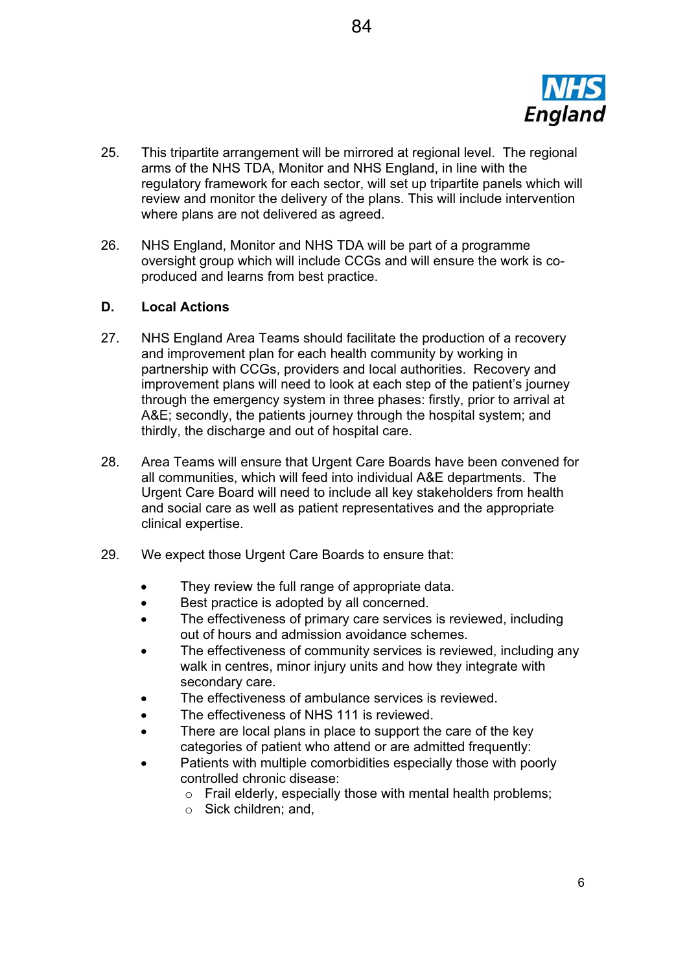

- 25. This tripartite arrangement will be mirrored at regional level. The regional arms of the NHS TDA, Monitor and NHS England, in line with the regulatory framework for each sector, will set up tripartite panels which will review and monitor the delivery of the plans. This will include intervention where plans are not delivered as agreed.
- 26. NHS England, Monitor and NHS TDA will be part of a programme oversight group which will include CCGs and will ensure the work is coproduced and learns from best practice.

# **D. Local Actions**

- 27. NHS England Area Teams should facilitate the production of a recovery and improvement plan for each health community by working in partnership with CCGs, providers and local authorities. Recovery and improvement plans will need to look at each step of the patient's journey through the emergency system in three phases: firstly, prior to arrival at A&E; secondly, the patients journey through the hospital system; and thirdly, the discharge and out of hospital care.
- 28. Area Teams will ensure that Urgent Care Boards have been convened for all communities, which will feed into individual A&E departments. The Urgent Care Board will need to include all key stakeholders from health and social care as well as patient representatives and the appropriate clinical expertise.
- 29. We expect those Urgent Care Boards to ensure that:
	- They review the full range of appropriate data.
	- Best practice is adopted by all concerned.
	- The effectiveness of primary care services is reviewed, including out of hours and admission avoidance schemes.
	- The effectiveness of community services is reviewed, including any walk in centres, minor injury units and how they integrate with secondary care.
	- The effectiveness of ambulance services is reviewed.
	- The effectiveness of NHS 111 is reviewed.
	- There are local plans in place to support the care of the key categories of patient who attend or are admitted frequently:
	- Patients with multiple comorbidities especially those with poorly controlled chronic disease:
		- $\circ$  Frail elderly, especially those with mental health problems;
		- o Sick children; and,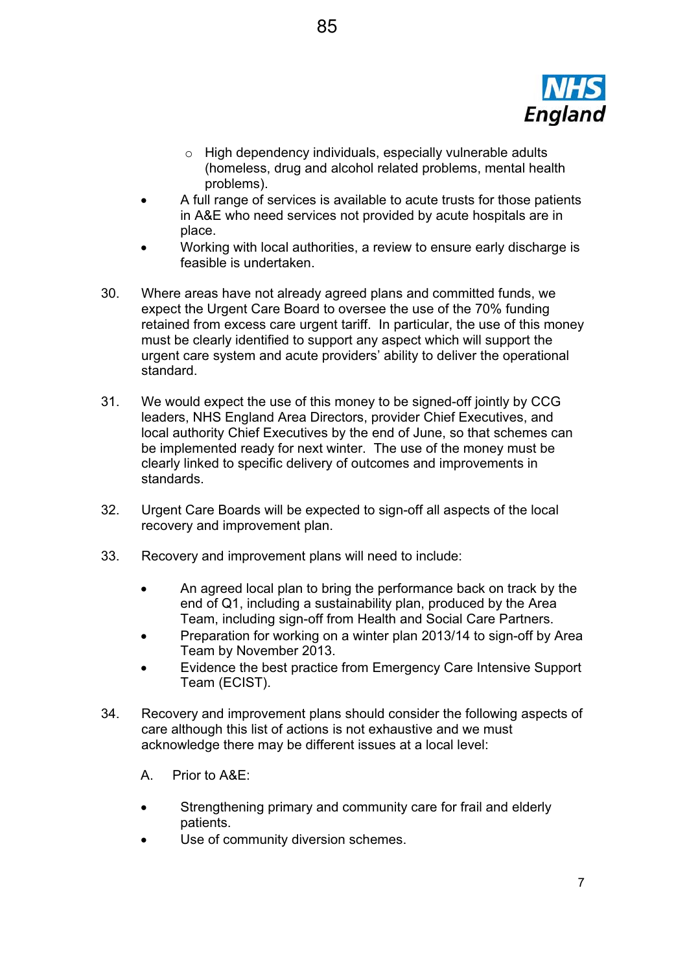

- o High dependency individuals, especially vulnerable adults (homeless, drug and alcohol related problems, mental health problems).
- A full range of services is available to acute trusts for those patients in A&E who need services not provided by acute hospitals are in place.
- Working with local authorities, a review to ensure early discharge is feasible is undertaken.
- 30. Where areas have not already agreed plans and committed funds, we expect the Urgent Care Board to oversee the use of the 70% funding retained from excess care urgent tariff. In particular, the use of this money must be clearly identified to support any aspect which will support the urgent care system and acute providers' ability to deliver the operational standard.
- 31. We would expect the use of this money to be signed-off jointly by CCG leaders, NHS England Area Directors, provider Chief Executives, and local authority Chief Executives by the end of June, so that schemes can be implemented ready for next winter. The use of the money must be clearly linked to specific delivery of outcomes and improvements in standards.
- 32. Urgent Care Boards will be expected to sign-off all aspects of the local recovery and improvement plan.
- 33. Recovery and improvement plans will need to include:
	- An agreed local plan to bring the performance back on track by the end of Q1, including a sustainability plan, produced by the Area Team, including sign-off from Health and Social Care Partners.
	- Preparation for working on a winter plan 2013/14 to sign-off by Area Team by November 2013.
	- Evidence the best practice from Emergency Care Intensive Support Team (ECIST).
- 34. Recovery and improvement plans should consider the following aspects of care although this list of actions is not exhaustive and we must acknowledge there may be different issues at a local level:
	- A. Prior to A&E:
	- Strengthening primary and community care for frail and elderly patients.
	- Use of community diversion schemes.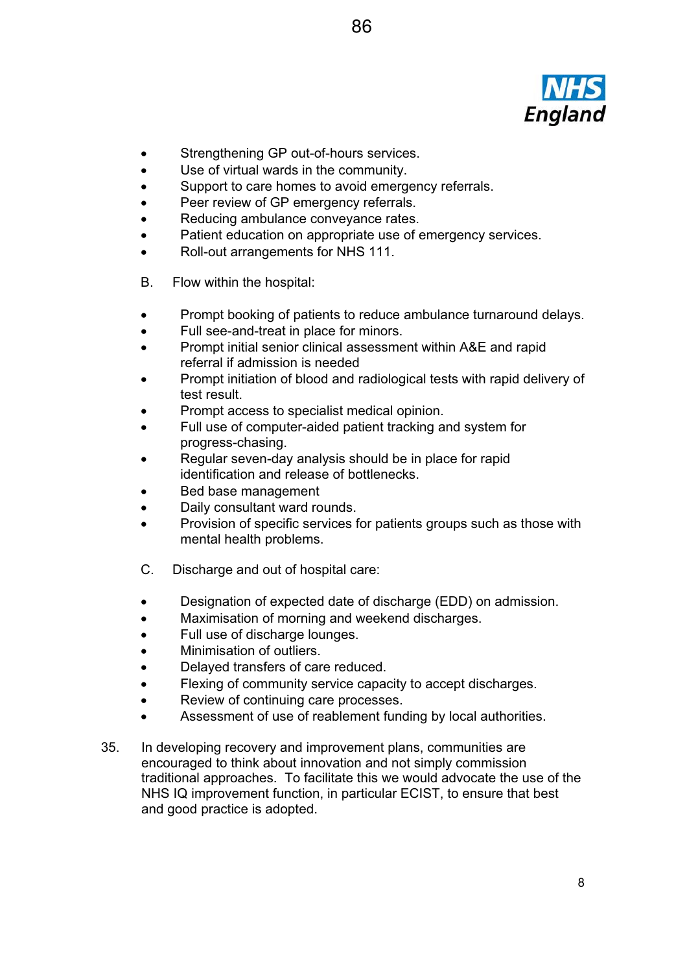

- Strengthening GP out-of-hours services.
- Use of virtual wards in the community.
- Support to care homes to avoid emergency referrals.
- **•** Peer review of GP emergency referrals.
- Reducing ambulance conveyance rates.
- Patient education on appropriate use of emergency services.
- Roll-out arrangements for NHS 111.
- B. Flow within the hospital:
- Prompt booking of patients to reduce ambulance turnaround delays.
- Full see-and-treat in place for minors.
- Prompt initial senior clinical assessment within A&E and rapid referral if admission is needed
- Prompt initiation of blood and radiological tests with rapid delivery of test result.
- Prompt access to specialist medical opinion.
- Full use of computer-aided patient tracking and system for progress-chasing.
- Regular seven-day analysis should be in place for rapid identification and release of bottlenecks.
- Bed base management
- Daily consultant ward rounds.
- Provision of specific services for patients groups such as those with mental health problems.
- C. Discharge and out of hospital care:
- **•** Designation of expected date of discharge (EDD) on admission.
- Maximisation of morning and weekend discharges.
- Full use of discharge lounges.
- x Minimisation of outliers.
- Delayed transfers of care reduced.
- Flexing of community service capacity to accept discharges.
- Review of continuing care processes.
- Assessment of use of reablement funding by local authorities.
- 35. In developing recovery and improvement plans, communities are encouraged to think about innovation and not simply commission traditional approaches. To facilitate this we would advocate the use of the NHS IQ improvement function, in particular ECIST, to ensure that best and good practice is adopted.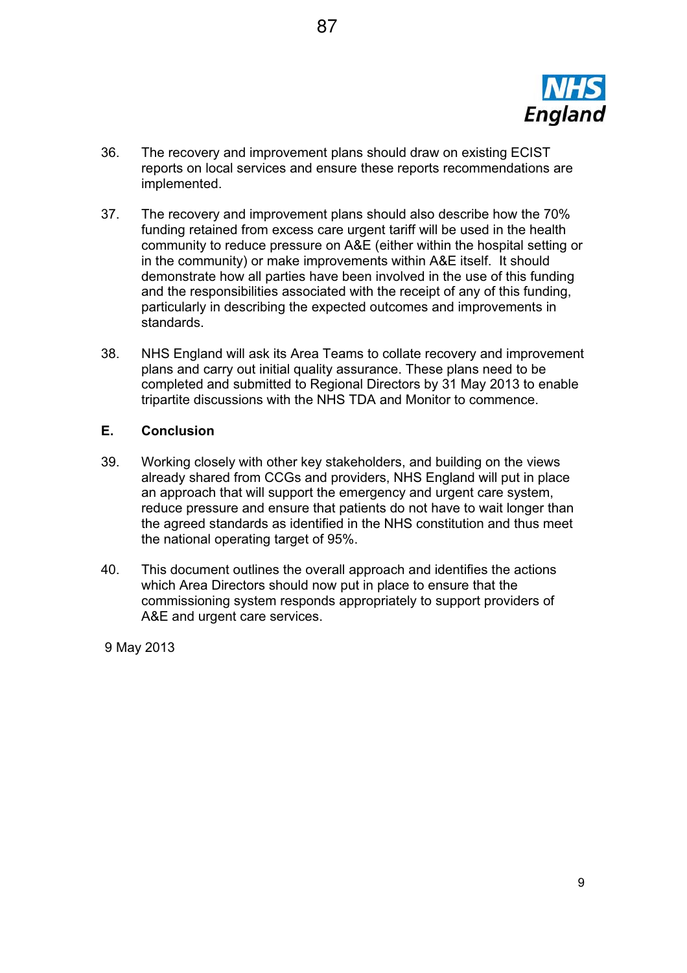

- 36. The recovery and improvement plans should draw on existing ECIST reports on local services and ensure these reports recommendations are implemented.
- 37. The recovery and improvement plans should also describe how the 70% funding retained from excess care urgent tariff will be used in the health community to reduce pressure on A&E (either within the hospital setting or in the community) or make improvements within A&E itself. It should demonstrate how all parties have been involved in the use of this funding and the responsibilities associated with the receipt of any of this funding, particularly in describing the expected outcomes and improvements in standards.
- 38. NHS England will ask its Area Teams to collate recovery and improvement plans and carry out initial quality assurance. These plans need to be completed and submitted to Regional Directors by 31 May 2013 to enable tripartite discussions with the NHS TDA and Monitor to commence.

## **E. Conclusion**

- 39. Working closely with other key stakeholders, and building on the views already shared from CCGs and providers, NHS England will put in place an approach that will support the emergency and urgent care system, reduce pressure and ensure that patients do not have to wait longer than the agreed standards as identified in the NHS constitution and thus meet the national operating target of 95%.
- 40. This document outlines the overall approach and identifies the actions which Area Directors should now put in place to ensure that the commissioning system responds appropriately to support providers of A&E and urgent care services.

9 May 2013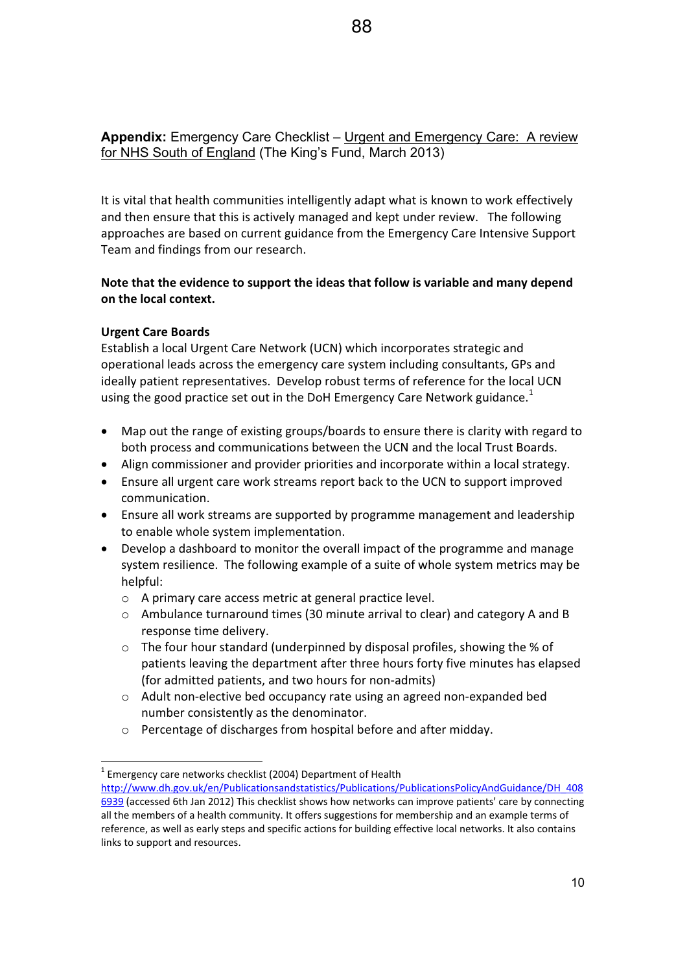**Appendix:** Emergency Care Checklist – Urgent and Emergency Care: A review for NHS South of England (The King's Fund, March 2013)

It is vital that health communities intelligently adapt what is known to work effectively and then ensure that this is actively managed and kept under review. The following approaches are based on current guidance from the Emergency Care Intensive Support Team and findings from our research.

# **Note that the evidence to support the ideas that follow is variable and many depend on the local context.**

## **Urgent Care Boards**

Establish a local Urgent Care Network (UCN) which incorporates strategic and operational leads across the emergency care system including consultants, GPs and ideally patient representatives. Develop robust terms of reference for the local UCN using the good practice set out in the DoH Emergency Care Network guidance.<sup>1</sup>

- Map out the range of existing groups/boards to ensure there is clarity with regard to both process and communications between the UCN and the local Trust Boards.
- Align commissioner and provider priorities and incorporate within a local strategy.
- Ensure all urgent care work streams report back to the UCN to support improved communication.
- Ensure all work streams are supported by programme management and leadership to enable whole system implementation.
- Develop a dashboard to monitor the overall impact of the programme and manage system resilience. The following example of a suite of whole system metrics may be helpful:
	- o A primary care access metric at general practice level.
	- o Ambulance turnaround times (30 minute arrival to clear) and category A and B response time delivery.
	- $\circ$  The four hour standard (underpinned by disposal profiles, showing the % of patients leaving the department after three hours forty five minutes has elapsed (for admitted patients, and two hours for non-admits)
	- o Adult non-elective bed occupancy rate using an agreed non-expanded bed number consistently as the denominator.
	- o Percentage of discharges from hospital before and after midday.

 $^1$  Emergency care networks checklist (2004) Department of Health

http://www.dh.gov.uk/en/Publicationsandstatistics/Publications/PublicationsPolicyAndGuidance/DH\_408 6939 (accessed 6th Jan 2012) This checklist shows how networks can improve patients' care by connecting all the members of a health community. It offers suggestions for membership and an example terms of reference, as well as early steps and specific actions for building effective local networks. It also contains links to support and resources.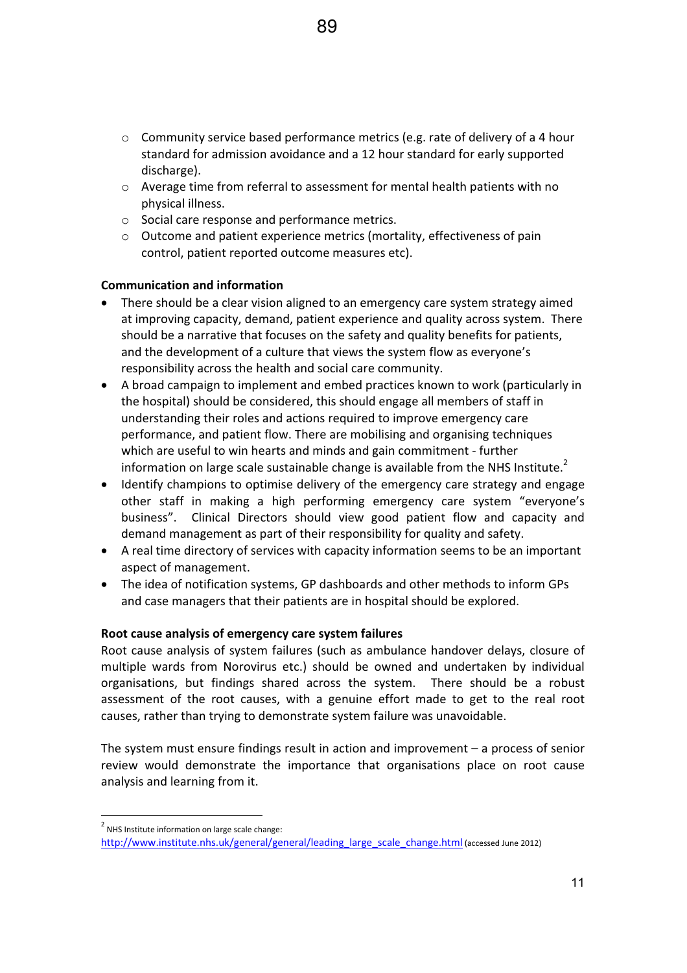- $\circ$  Community service based performance metrics (e.g. rate of delivery of a 4 hour standard for admission avoidance and a 12 hour standard for early supported discharge).
- $\circ$  Average time from referral to assessment for mental health patients with no physical illness.
- o Social care response and performance metrics.
- o Outcome and patient experience metrics (mortality, effectiveness of pain control, patient reported outcome measures etc).

## **Communication and information**

- There should be a clear vision aligned to an emergency care system strategy aimed at improving capacity, demand, patient experience and quality across system. There should be a narrative that focuses on the safety and quality benefits for patients, and the development of a culture that views the system flow as everyone's responsibility across the health and social care community.
- A broad campaign to implement and embed practices known to work (particularly in the hospital) should be considered, this should engage all members of staff in understanding their roles and actions required to improve emergency care performance, and patient flow. There are mobilising and organising techniques which are useful to win hearts and minds and gain commitment - further information on large scale sustainable change is available from the NHS Institute. $2$
- Identify champions to optimise delivery of the emergency care strategy and engage other staff in making a high performing emergency care system "everyone's business". Clinical Directors should view good patient flow and capacity and demand management as part of their responsibility for quality and safety.
- A real time directory of services with capacity information seems to be an important aspect of management.
- The idea of notification systems, GP dashboards and other methods to inform GPs and case managers that their patients are in hospital should be explored.

## **Root cause analysis of emergency care system failures**

Root cause analysis of system failures (such as ambulance handover delays, closure of multiple wards from Norovirus etc.) should be owned and undertaken by individual organisations, but findings shared across the system. There should be a robust assessment of the root causes, with a genuine effort made to get to the real root causes, rather than trying to demonstrate system failure was unavoidable.

The system must ensure findings result in action and improvement – a process of senior review would demonstrate the importance that organisations place on root cause analysis and learning from it.

 $2$  NHS Institute information on large scale change:

http://www.institute.nhs.uk/general/general/leading\_large\_scale\_change.html (accessed June 2012)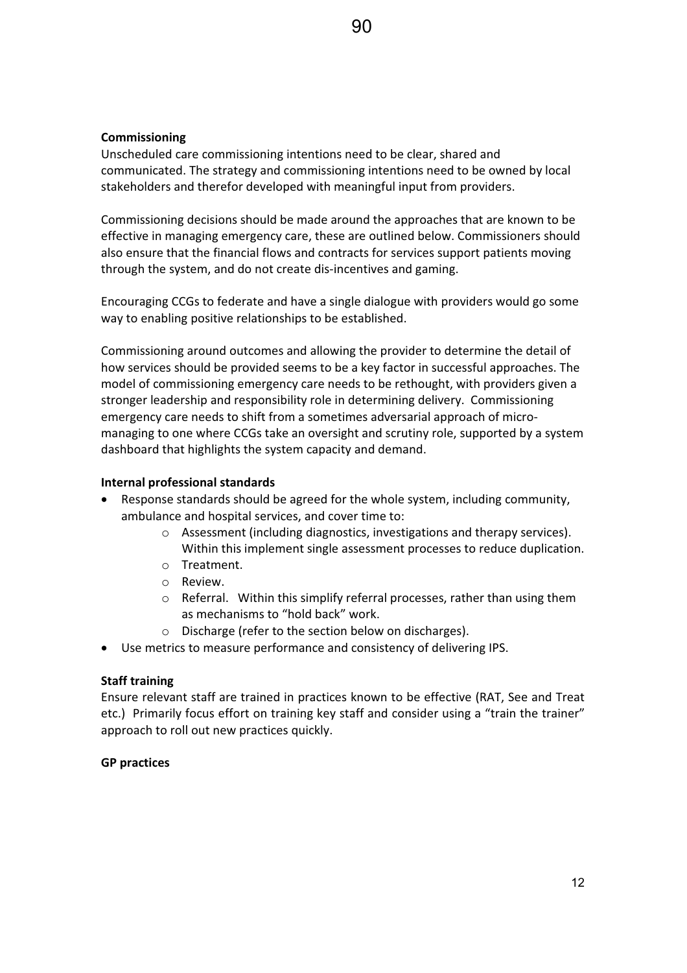# **Commissioning**

Unscheduled care commissioning intentions need to be clear, shared and communicated. The strategy and commissioning intentions need to be owned by local stakeholders and therefor developed with meaningful input from providers.

Commissioning decisions should be made around the approaches that are known to be effective in managing emergency care, these are outlined below. Commissioners should also ensure that the financial flows and contracts for services support patients moving through the system, and do not create dis-incentives and gaming.

Encouraging CCGs to federate and have a single dialogue with providers would go some way to enabling positive relationships to be established.

Commissioning around outcomes and allowing the provider to determine the detail of how services should be provided seems to be a key factor in successful approaches. The model of commissioning emergency care needs to be rethought, with providers given a stronger leadership and responsibility role in determining delivery. Commissioning emergency care needs to shift from a sometimes adversarial approach of micromanaging to one where CCGs take an oversight and scrutiny role, supported by a system dashboard that highlights the system capacity and demand.

## **Internal professional standards**

- Response standards should be agreed for the whole system, including community, ambulance and hospital services, and cover time to:
	- o Assessment (including diagnostics, investigations and therapy services). Within this implement single assessment processes to reduce duplication.
	- o Treatment.
	- o Review.
	- $\circ$  Referral. Within this simplify referral processes, rather than using them as mechanisms to "hold back" work.
	- o Discharge (refer to the section below on discharges).
- Use metrics to measure performance and consistency of delivering IPS.

## **Staff training**

Ensure relevant staff are trained in practices known to be effective (RAT, See and Treat etc.) Primarily focus effort on training key staff and consider using a "train the trainer" approach to roll out new practices quickly.

## **GP practices**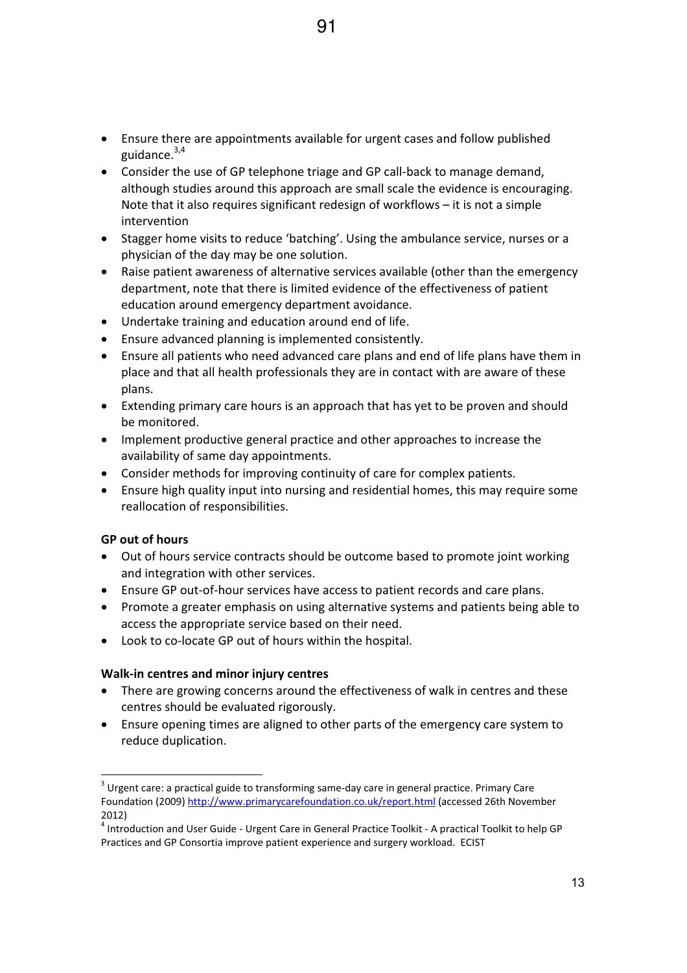- Ensure there are appointments available for urgent cases and follow published guidance.<sup>3,4</sup>
- Consider the use of GP telephone triage and GP call-back to manage demand, although studies around this approach are small scale the evidence is encouraging. Note that it also requires significant redesign of workflows – it is not a simple intervention
- Stagger home visits to reduce 'batching'. Using the ambulance service, nurses or a physician of the day may be one solution.
- Raise patient awareness of alternative services available (other than the emergency department, note that there is limited evidence of the effectiveness of patient education around emergency department avoidance.
- Undertake training and education around end of life.
- Ensure advanced planning is implemented consistently.
- Ensure all patients who need advanced care plans and end of life plans have them in place and that all health professionals they are in contact with are aware of these plans.
- Extending primary care hours is an approach that has yet to be proven and should be monitored.
- Implement productive general practice and other approaches to increase the availability of same day appointments.
- Consider methods for improving continuity of care for complex patients.
- Ensure high quality input into nursing and residential homes, this may require some reallocation of responsibilities.

## **GP out of hours**

- Out of hours service contracts should be outcome based to promote joint working and integration with other services.
- Ensure GP out-of-hour services have access to patient records and care plans.
- Promote a greater emphasis on using alternative systems and patients being able to access the appropriate service based on their need.
- Look to co-locate GP out of hours within the hospital.

#### **Walk-in centres and minor injury centres**

- There are growing concerns around the effectiveness of walk in centres and these centres should be evaluated rigorously.
- Ensure opening times are aligned to other parts of the emergency care system to reduce duplication.

 $^3$  Urgent care: a practical guide to transforming same-day care in general practice. Primary Care Foundation (2009) http://www.primarycarefoundation.co.uk/report.html (accessed 26th November 2012)

<sup>&</sup>lt;sup>4</sup> Introduction and User Guide - Urgent Care in General Practice Toolkit - A practical Toolkit to help GP Practices and GP Consortia improve patient experience and surgery workload. ECIST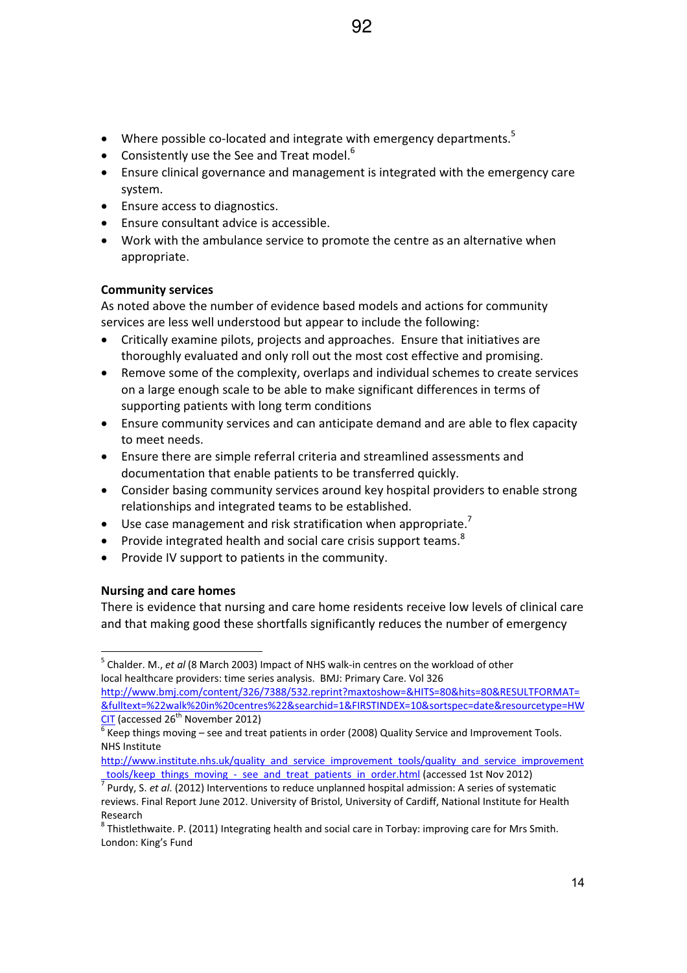- Where possible co-located and integrate with emergency departments.<sup>5</sup>
- **•** Consistently use the See and Treat model.<sup>6</sup>
- Ensure clinical governance and management is integrated with the emergency care system.
- Ensure access to diagnostics.
- **•** Ensure consultant advice is accessible.
- Work with the ambulance service to promote the centre as an alternative when appropriate.

## **Community services**

As noted above the number of evidence based models and actions for community services are less well understood but appear to include the following:

- Critically examine pilots, projects and approaches. Ensure that initiatives are thoroughly evaluated and only roll out the most cost effective and promising.
- Remove some of the complexity, overlaps and individual schemes to create services on a large enough scale to be able to make significant differences in terms of supporting patients with long term conditions
- Ensure community services and can anticipate demand and are able to flex capacity to meet needs.
- Ensure there are simple referral criteria and streamlined assessments and documentation that enable patients to be transferred quickly.
- Consider basing community services around key hospital providers to enable strong relationships and integrated teams to be established.
- $\bullet$  Use case management and risk stratification when appropriate.<sup>7</sup>
- **•** Provide integrated health and social care crisis support teams.<sup>8</sup>
- Provide IV support to patients in the community.

## **Nursing and care homes**

There is evidence that nursing and care home residents receive low levels of clinical care and that making good these shortfalls significantly reduces the number of emergency

<sup>&</sup>lt;sup>5</sup> Chalder. M., *et al* (8 March 2003) Impact of NHS walk-in centres on the workload of other local healthcare providers: time series analysis. BMJ: Primary Care. Vol 326

http://www.bmj.com/content/326/7388/532.reprint?maxtoshow=&HITS=80&hits=80&RESULTFORMAT= &fulltext=%22walk%20in%20centres%22&searchid=1&FIRSTINDEX=10&sortspec=date&resourcetype=HW  $CIT$  (accessed 26<sup>th</sup> November 2012)

 $^6$  Keep things moving – see and treat patients in order (2008) Quality Service and Improvement Tools. NHS Institute

http://www.institute.nhs.uk/quality\_and\_service\_improvement\_tools/quality\_and\_service\_improvement

<sup>&</sup>lt;u>\_tools/keep\_things\_moving\_-\_see\_and\_treat\_patients\_in\_order.html</u> (accessed 1st Nov 2012)<br><sup>7</sup> Purdy, S. *et al*. (2012) Interventions to reduce unplanned hospital admission: A series of systematic reviews. Final Report June 2012. University of Bristol, University of Cardiff, National Institute for Health Research

 $^8$  Thistlethwaite. P. (2011) Integrating health and social care in Torbay: improving care for Mrs Smith. London: King's Fund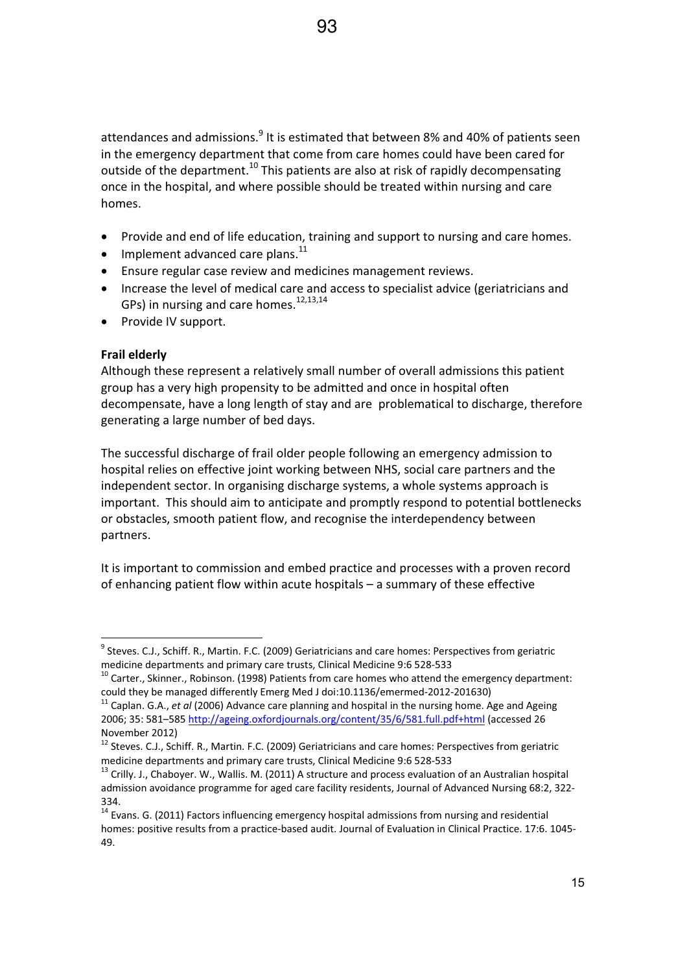attendances and admissions.<sup>9</sup> It is estimated that between 8% and 40% of patients seen in the emergency department that come from care homes could have been cared for outside of the department.<sup>10</sup> This patients are also at risk of rapidly decompensating once in the hospital, and where possible should be treated within nursing and care homes.

- Provide and end of life education, training and support to nursing and care homes.
- $\bullet$  Implement advanced care plans.<sup>11</sup>
- **•** Ensure regular case review and medicines management reviews.
- Increase the level of medical care and access to specialist advice (geriatricians and GPs) in nursing and care homes. $^{12,13,14}$
- Provide IV support.

## **Frail elderly**

Although these represent a relatively small number of overall admissions this patient group has a very high propensity to be admitted and once in hospital often decompensate, have a long length of stay and are problematical to discharge, therefore generating a large number of bed days.

The successful discharge of frail older people following an emergency admission to hospital relies on effective joint working between NHS, social care partners and the independent sector. In organising discharge systems, a whole systems approach is important. This should aim to anticipate and promptly respond to potential bottlenecks or obstacles, smooth patient flow, and recognise the interdependency between partners.

It is important to commission and embed practice and processes with a proven record of enhancing patient flow within acute hospitals – a summary of these effective

 $^9$  Steves. C.J., Schiff. R., Martin. F.C. (2009) Geriatricians and care homes: Perspectives from geriatric medicine departments and primary care trusts, Clinical Medicine 9:6 528-533

 $10$  Carter., Skinner., Robinson. (1998) Patients from care homes who attend the emergency department: could they be managed differently Emerg Med J doi:10.1136/emermed-2012-201630)

<sup>11</sup> Caplan. G.A., *et al* (2006) Advance care planning and hospital in the nursing home. Age and Ageing 2006; 35: 581–585 http://ageing.oxfordjournals.org/content/35/6/581.full.pdf+html (accessed 26 November 2012)

<sup>&</sup>lt;sup>12</sup> Steves. C.J., Schiff. R., Martin. F.C. (2009) Geriatricians and care homes: Perspectives from geriatric medicine departments and primary care trusts, Clinical Medicine 9:6 528-533

<sup>&</sup>lt;sup>13</sup> Crilly. J., Chaboyer. W., Wallis. M. (2011) A structure and process evaluation of an Australian hospital admission avoidance programme for aged care facility residents, Journal of Advanced Nursing 68:2, 322-334.

<sup>&</sup>lt;sup>14</sup> Evans. G. (2011) Factors influencing emergency hospital admissions from nursing and residential homes: positive results from a practice-based audit. Journal of Evaluation in Clinical Practice. 17:6. 1045-49.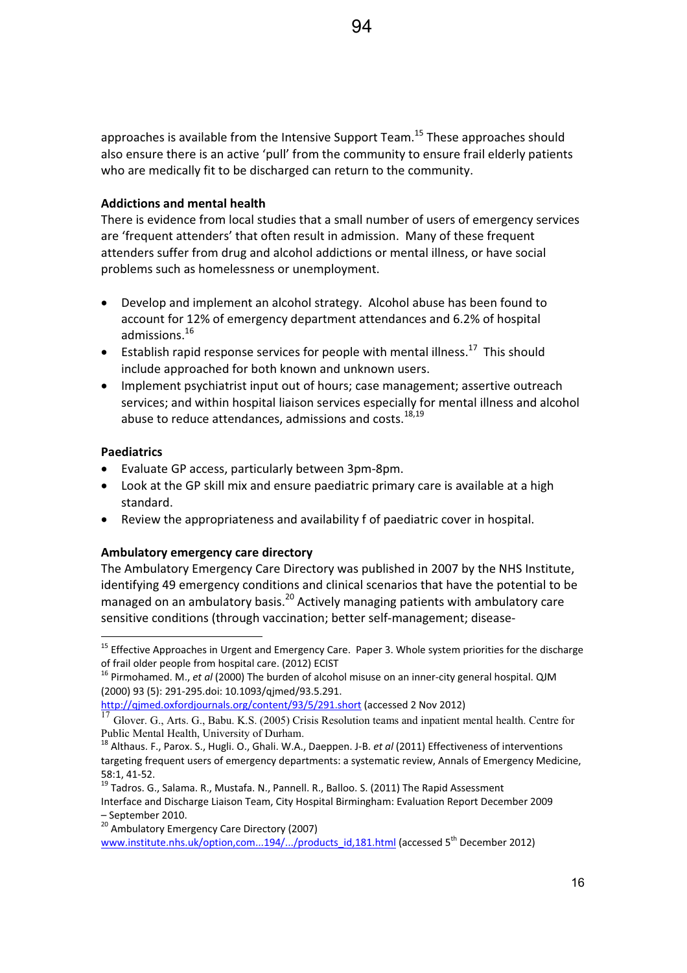approaches is available from the Intensive Support Team.<sup>15</sup> These approaches should also ensure there is an active 'pull' from the community to ensure frail elderly patients who are medically fit to be discharged can return to the community.

#### **Addictions and mental health**

There is evidence from local studies that a small number of users of emergency services are 'frequent attenders' that often result in admission.Many of these frequent attenders suffer from drug and alcohol addictions or mental illness, or have social problems such as homelessness or unemployment.

- Develop and implement an alcohol strategy. Alcohol abuse has been found to account for 12% of emergency department attendances and 6.2% of hospital admissions.<sup>16</sup>
- **•** Establish rapid response services for people with mental illness.<sup>17</sup> This should include approached for both known and unknown users.
- Implement psychiatrist input out of hours; case management; assertive outreach services; and within hospital liaison services especially for mental illness and alcohol abuse to reduce attendances, admissions and costs.<sup>18,19</sup>

## **Paediatrics**

- Evaluate GP access, particularly between 3pm-8pm.
- Look at the GP skill mix and ensure paediatric primary care is available at a high standard.
- Review the appropriateness and availability f of paediatric cover in hospital.

## **Ambulatory emergency care directory**

The Ambulatory Emergency Care Directory was published in 2007 by the NHS Institute, identifying 49 emergency conditions and clinical scenarios that have the potential to be managed on an ambulatory basis.<sup>20</sup> Actively managing patients with ambulatory care sensitive conditions (through vaccination; better self-management; disease-

<sup>&</sup>lt;sup>15</sup> Effective Approaches in Urgent and Emergency Care. Paper 3. Whole system priorities for the discharge of frail older people from hospital care. (2012) ECIST

<sup>&</sup>lt;sup>16</sup> Pirmohamed. M., *et al* (2000) The burden of alcohol misuse on an inner-city general hospital. QJM (2000) 93 (5): 291-295.doi: 10.1093/qjmed/93.5.291.

http://qjmed.oxfordjournals.org/content/93/5/291.short (accessed 2 Nov 2012)

<sup>17</sup> Glover. G., Arts. G., Babu. K.S. (2005) Crisis Resolution teams and inpatient mental health. Centre for Public Mental Health, University of Durham.

<sup>18</sup> Althaus. F., Parox. S., Hugli. O., Ghali. W.A., Daeppen. J-B. *et al* (2011) Effectiveness of interventions targeting frequent users of emergency departments: a systematic review, Annals of Emergency Medicine, 58:1, 41Ͳ52.

 $19$  Tadros. G., Salama. R., Mustafa. N., Pannell. R., Balloo. S. (2011) The Rapid Assessment Interface and Discharge Liaison Team, City Hospital Birmingham: Evaluation Report December 2009 – September 2010.

<sup>&</sup>lt;sup>20</sup> Ambulatory Emergency Care Directory (2007)

www.institute.nhs.uk/option,com...194/.../products\_id,181.html (accessed 5<sup>th</sup> December 2012)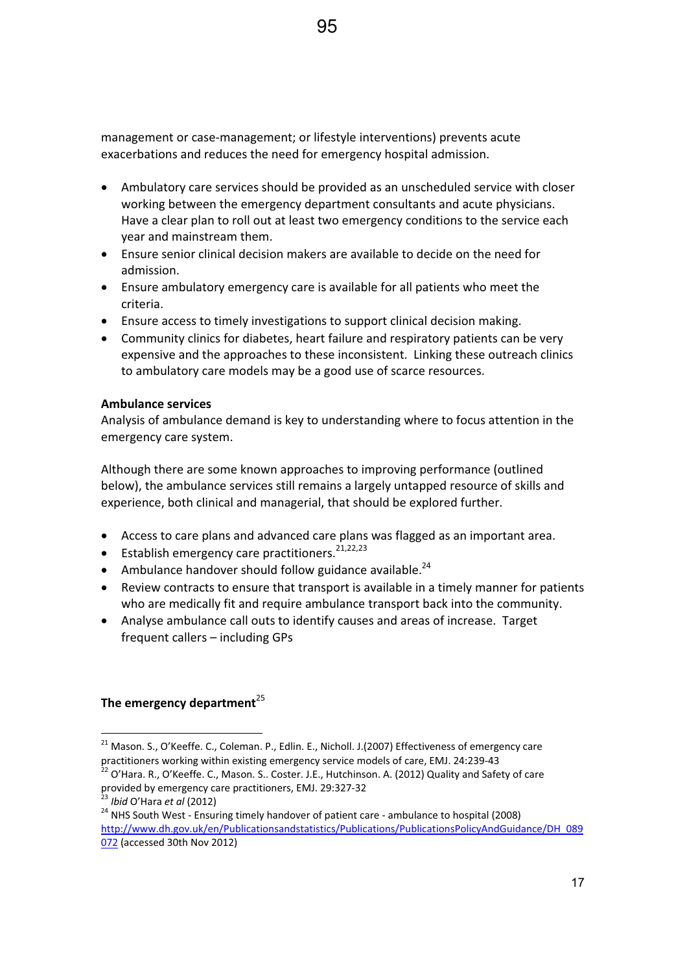management or case-management; or lifestyle interventions) prevents acute exacerbations and reduces the need for emergency hospital admission.

- Ambulatory care services should be provided as an unscheduled service with closer working between the emergency department consultants and acute physicians. Have a clear plan to roll out at least two emergency conditions to the service each year and mainstream them.
- Ensure senior clinical decision makers are available to decide on the need for admission.
- Ensure ambulatory emergency care is available for all patients who meet the criteria.
- Ensure access to timely investigations to support clinical decision making.
- Community clinics for diabetes, heart failure and respiratory patients can be very expensive and the approaches to these inconsistent. Linking these outreach clinics to ambulatory care models may be a good use of scarce resources.

#### **Ambulance services**

Analysis of ambulance demand is key to understanding where to focus attention in the emergency care system.

Although there are some known approaches to improving performance (outlined below), the ambulance services still remains a largely untapped resource of skills and experience, both clinical and managerial, that should be explored further.

- Access to care plans and advanced care plans was flagged as an important area.
- **Establish emergency care practitioners.**<sup>21,22,23</sup>
- Ambulance handover should follow guidance available.<sup>24</sup>
- Review contracts to ensure that transport is available in a timely manner for patients who are medically fit and require ambulance transport back into the community.
- Analyse ambulance call outs to identify causes and areas of increase. Target frequent callers – including GPs

## **The emergency department**<sup>25</sup>

 $21$  Mason. S., O'Keeffe. C., Coleman. P., Edlin. E., Nicholl. J.(2007) Effectiveness of emergency care practitioners working within existing emergency service models of care, EMJ. 24:239-43

 $^{22}$  O'Hara. R., O'Keeffe. C., Mason. S.. Coster. J.E., Hutchinson. A. (2012) Quality and Safety of care provided by emergency care practitioners, EMJ. 29:327-32

<sup>23</sup> *Ibid* O'Hara *et al* (2012)

<sup>&</sup>lt;sup>24</sup> NHS South West - Ensuring timely handover of patient care - ambulance to hospital (2008) http://www.dh.gov.uk/en/Publicationsandstatistics/Publications/PublicationsPolicyAndGuidance/DH\_089 072 (accessed 30th Nov 2012)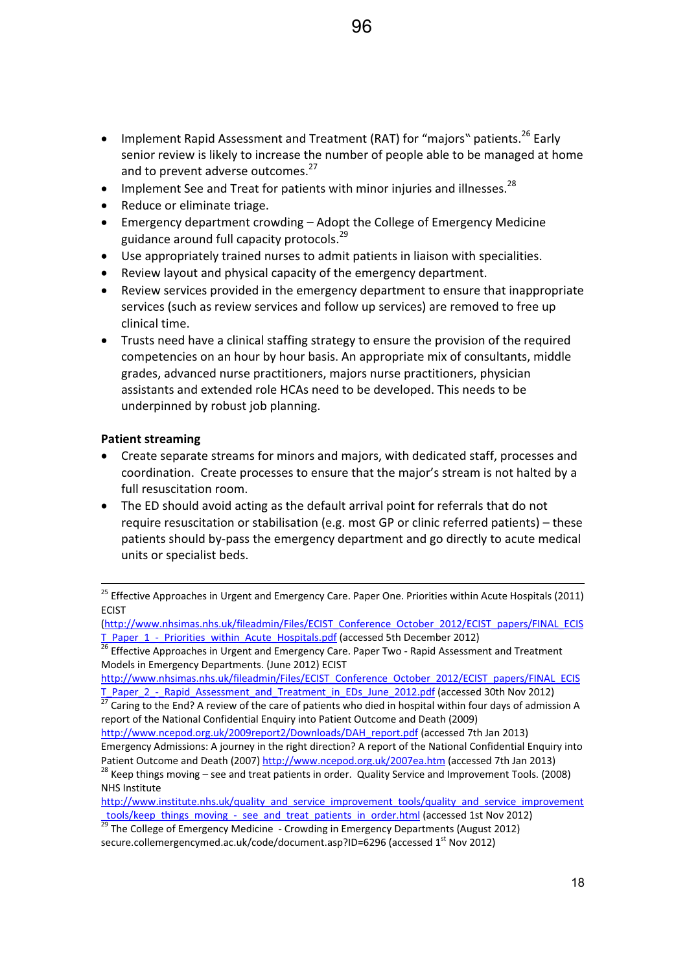- Implement Rapid Assessment and Treatment (RAT) for "majors" patients.<sup>26</sup> Early senior review is likely to increase the number of people able to be managed at home and to prevent adverse outcomes.<sup>27</sup>
- $\bullet$  Implement See and Treat for patients with minor injuries and illnesses.<sup>28</sup>
- Reduce or eliminate triage.
- **Emergency department crowding Adopt the College of Emergency Medicine** guidance around full capacity protocols.<sup>29</sup>
- Use appropriately trained nurses to admit patients in liaison with specialities.
- Review layout and physical capacity of the emergency department.
- Review services provided in the emergency department to ensure that inappropriate services (such as review services and follow up services) are removed to free up clinical time.
- Trusts need have a clinical staffing strategy to ensure the provision of the required competencies on an hour by hour basis. An appropriate mix of consultants, middle grades, advanced nurse practitioners, majors nurse practitioners, physician assistants and extended role HCAs need to be developed. This needs to be underpinned by robust job planning.

## **Patient streaming**

- Create separate streams for minors and majors, with dedicated staff, processes and coordination. Create processes to ensure that the major's stream is not halted by a full resuscitation room.
- The ED should avoid acting as the default arrival point for referrals that do not require resuscitation or stabilisation (e.g. most GP or clinic referred patients) – these patients should by-pass the emergency department and go directly to acute medical units or specialist beds.

<sup>&</sup>lt;sup>25</sup> Effective Approaches in Urgent and Emergency Care. Paper One. Priorities within Acute Hospitals (2011) **ECIST** 

<sup>(</sup>http://www.nhsimas.nhs.uk/fileadmin/Files/ECIST\_Conference\_October\_2012/ECIST\_papers/FINAL\_ECIS T\_Paper\_1\_-\_Priorities\_within\_Acute\_Hospitals.pdf (accessed 5th December 2012)

<sup>&</sup>lt;sup>26</sup> Effective Approaches in Urgent and Emergency Care. Paper Two - Rapid Assessment and Treatment Models in Emergency Departments. (June 2012) ECIST

http://www.nhsimas.nhs.uk/fileadmin/Files/ECIST\_Conference\_October\_2012/ECIST\_papers/FINAL\_ECIS T\_Paper\_2\_ -\_Rapid\_Assessment\_and\_Treatment\_in\_EDs\_June\_2012.pdf (accessed 30th Nov 2012)

Caring to the End? A review of the care of patients who died in hospital within four days of admission A report of the National Confidential Enquiry into Patient Outcome and Death (2009)

http://www.ncepod.org.uk/2009report2/Downloads/DAH\_report.pdf (accessed 7th Jan 2013) Emergency Admissions: A journey in the right direction? A report of the National Confidential Enquiry into Patient Outcome and Death (2007) http://www.ncepod.org.uk/2007ea.htm (accessed 7th Jan 2013)

 $28$  Keep things moving – see and treat patients in order. Quality Service and Improvement Tools. (2008) NHS Institute

http://www.institute.nhs.uk/quality\_and\_service\_improvement\_tools/quality\_and\_service\_improvement tools/keep\_things\_moving\_ - see\_and\_treat\_patients\_in\_order.html (accessed 1st Nov 2012)

<sup>&</sup>lt;u>29</u> The College of Emergency Medicine - Crowding in Emergency Departments (August 2012) secure.collemergencymed.ac.uk/code/document.asp?ID=6296 (accessed 1<sup>st</sup> Nov 2012)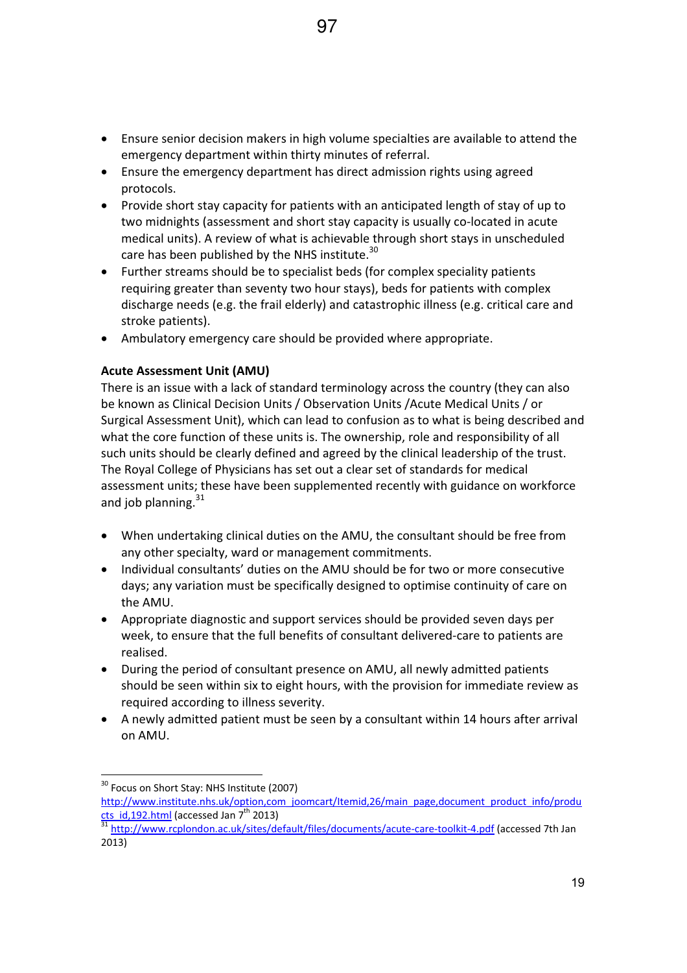- Ensure senior decision makers in high volume specialties are available to attend the emergency department within thirty minutes of referral.
- Ensure the emergency department has direct admission rights using agreed protocols.
- Provide short stay capacity for patients with an anticipated length of stay of up to two midnights (assessment and short stay capacity is usually co-located in acute medical units). A review of what is achievable through short stays in unscheduled care has been published by the NHS institute.<sup>30</sup>
- Further streams should be to specialist beds (for complex speciality patients requiring greater than seventy two hour stays), beds for patients with complex discharge needs (e.g. the frail elderly) and catastrophic illness (e.g. critical care and stroke patients).
- Ambulatory emergency care should be provided where appropriate.

# **Acute Assessment Unit (AMU)**

There is an issue with a lack of standard terminology across the country (they can also be known as Clinical Decision Units / Observation Units /Acute Medical Units / or Surgical Assessment Unit), which can lead to confusion as to what is being described and what the core function of these units is. The ownership, role and responsibility of all such units should be clearly defined and agreed by the clinical leadership of the trust. The Royal College of Physicians has set out a clear set of standards for medical assessment units; these have been supplemented recently with guidance on workforce and job planning. $31$ 

- When undertaking clinical duties on the AMU, the consultant should be free from any other specialty, ward or management commitments.
- Individual consultants' duties on the AMU should be for two or more consecutive days; any variation must be specifically designed to optimise continuity of care on the AMU.
- Appropriate diagnostic and support services should be provided seven days per week, to ensure that the full benefits of consultant delivered-care to patients are realised.
- During the period of consultant presence on AMU, all newly admitted patients should be seen within six to eight hours, with the provision for immediate review as required according to illness severity.
- A newly admitted patient must be seen by a consultant within 14 hours after arrival on AMU.

<sup>&</sup>lt;sup>30</sup> Focus on Short Stay: NHS Institute (2007) http://www.institute.nhs.uk/option,com\_joomcart/Itemid,26/main\_page,document\_product\_info/produ cts id,192.html (accessed Jan 7<sup>th</sup> 2013)

<sup>&</sup>lt;sup>31</sup> http://www.rcplondon.ac.uk/sites/default/files/documents/acute-care-toolkit-4.pdf (accessed 7th Jan 2013)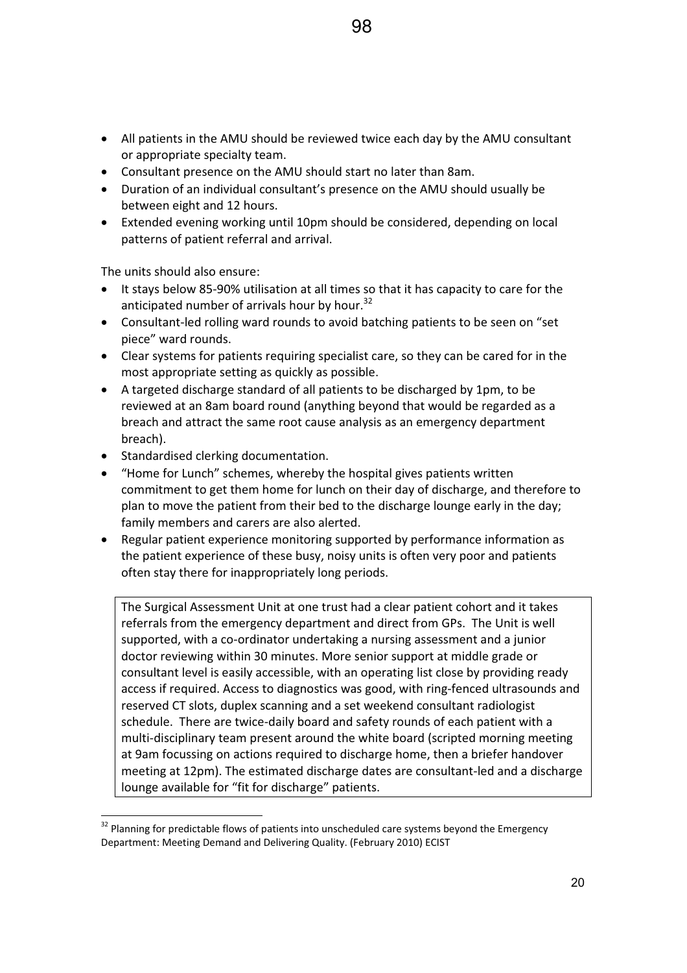- All patients in the AMU should be reviewed twice each day by the AMU consultant or appropriate specialty team.
- Consultant presence on the AMU should start no later than 8am.
- Duration of an individual consultant's presence on the AMU should usually be between eight and 12 hours.
- Extended evening working until 10pm should be considered, depending on local patterns of patient referral and arrival.

The units should also ensure:

- It stays below 85-90% utilisation at all times so that it has capacity to care for the anticipated number of arrivals hour by hour.<sup>32</sup>
- Consultant-led rolling ward rounds to avoid batching patients to be seen on "set piece" ward rounds.
- Clear systems for patients requiring specialist care, so they can be cared for in the most appropriate setting as quickly as possible.
- A targeted discharge standard of all patients to be discharged by 1pm, to be reviewed at an 8am board round (anything beyond that would be regarded as a breach and attract the same root cause analysis as an emergency department breach).
- Standardised clerking documentation.
- "Home for Lunch" schemes, whereby the hospital gives patients written commitment to get them home for lunch on their day of discharge, and therefore to plan to move the patient from their bed to the discharge lounge early in the day; family members and carers are also alerted.
- Regular patient experience monitoring supported by performance information as the patient experience of these busy, noisy units is often very poor and patients often stay there for inappropriately long periods.

The Surgical Assessment Unit at one trust had a clear patient cohort and it takes referrals from the emergency department and direct from GPs. The Unit is well supported, with a co-ordinator undertaking a nursing assessment and a junior doctor reviewing within 30 minutes. More senior support at middle grade or consultant level is easily accessible, with an operating list close by providing ready access if required. Access to diagnostics was good, with ring-fenced ultrasounds and reserved CT slots, duplex scanning and a set weekend consultant radiologist schedule. There are twice-daily board and safety rounds of each patient with a multi-disciplinary team present around the white board (scripted morning meeting at 9am focussing on actions required to discharge home, then a briefer handover meeting at 12pm). The estimated discharge dates are consultant-led and a discharge lounge available for "fit for discharge" patients.

 $32$  Planning for predictable flows of patients into unscheduled care systems beyond the Emergency Department: Meeting Demand and Delivering Quality. (February 2010) ECIST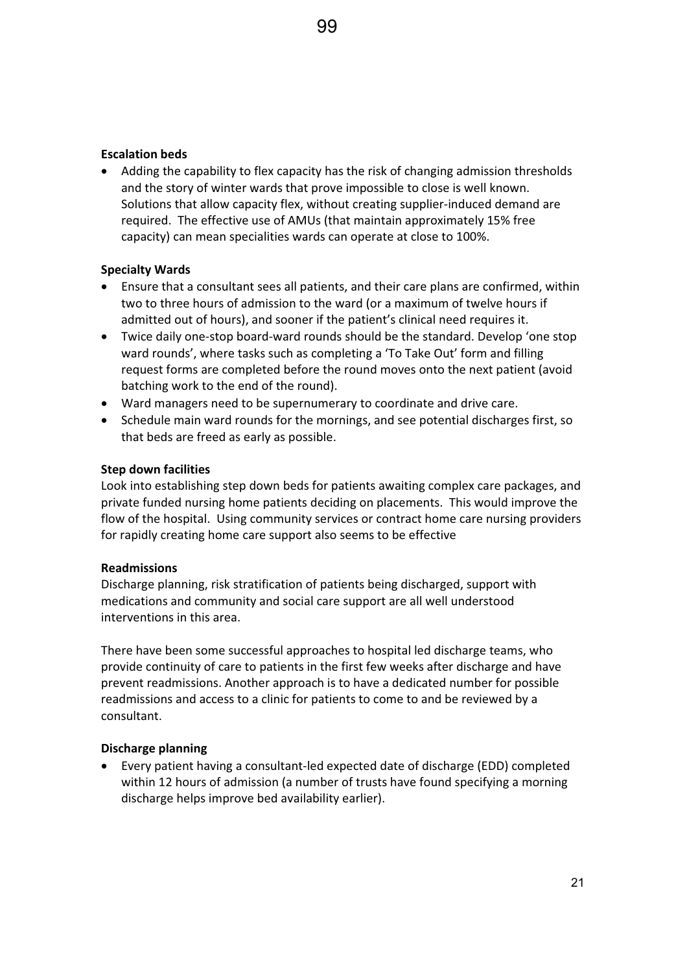#### **Escalation beds**

• Adding the capability to flex capacity has the risk of changing admission thresholds and the story of winter wards that prove impossible to close is well known. Solutions that allow capacity flex, without creating supplier-induced demand are required. The effective use of AMUs (that maintain approximately 15% free capacity) can mean specialities wards can operate at close to 100%.

#### **Specialty Wards**

- Ensure that a consultant sees all patients, and their care plans are confirmed, within two to three hours of admission to the ward (or a maximum of twelve hours if admitted out of hours), and sooner if the patient's clinical need requires it.
- Twice daily one-stop board-ward rounds should be the standard. Develop 'one stop ward rounds', where tasks such as completing a 'To Take Out' form and filling request forms are completed before the round moves onto the next patient (avoid batching work to the end of the round).
- Ward managers need to be supernumerary to coordinate and drive care.
- Schedule main ward rounds for the mornings, and see potential discharges first, so that beds are freed as early as possible.

#### **Step down facilities**

Look into establishing step down beds for patients awaiting complex care packages, and private funded nursing home patients deciding on placements.This would improve the flow of the hospital. Using community services or contract home care nursing providers for rapidly creating home care support also seems to be effective

#### **Readmissions**

Discharge planning, risk stratification of patients being discharged, support with medications and community and social care support are all well understood interventions in this area.

There have been some successful approaches to hospital led discharge teams, who provide continuity of care to patients in the first few weeks after discharge and have prevent readmissions. Another approach is to have a dedicated number for possible readmissions and access to a clinic for patients to come to and be reviewed by a consultant.

#### **Discharge planning**

• Every patient having a consultant-led expected date of discharge (EDD) completed within 12 hours of admission (a number of trusts have found specifying a morning discharge helps improve bed availability earlier).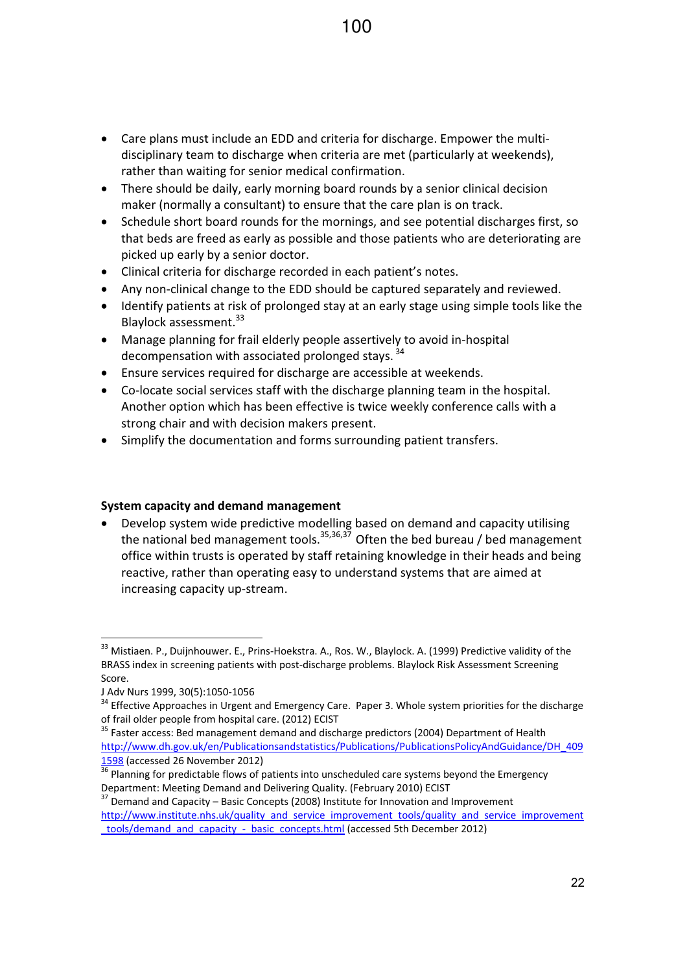- Care plans must include an EDD and criteria for discharge. Empower the multidisciplinary team to discharge when criteria are met (particularly at weekends), rather than waiting for senior medical confirmation.
- There should be daily, early morning board rounds by a senior clinical decision maker (normally a consultant) to ensure that the care plan is on track.
- Schedule short board rounds for the mornings, and see potential discharges first, so that beds are freed as early as possible and those patients who are deteriorating are picked up early by a senior doctor.
- Clinical criteria for discharge recorded in each patient's notes.
- Any non-clinical change to the EDD should be captured separately and reviewed.
- Identify patients at risk of prolonged stay at an early stage using simple tools like the Blaylock assessment.<sup>33</sup>
- Manage planning for frail elderly people assertively to avoid in-hospital decompensation with associated prolonged stays.<sup>34</sup>
- Ensure services required for discharge are accessible at weekends.
- $\bullet$  Co-locate social services staff with the discharge planning team in the hospital. Another option which has been effective is twice weekly conference calls with a strong chair and with decision makers present.
- Simplify the documentation and forms surrounding patient transfers.

## **System capacity and demand management**

• Develop system wide predictive modelling based on demand and capacity utilising the national bed management tools.<sup>35,36,37</sup> Often the bed bureau / bed management office within trusts is operated by staff retaining knowledge in their heads and being reactive, rather than operating easy to understand systems that are aimed at increasing capacity up-stream.

<sup>33</sup> Mistiaen. P., Duijnhouwer. E., Prins-Hoekstra. A., Ros. W., Blaylock. A. (1999) Predictive validity of the BRASS index in screening patients with post-discharge problems. Blaylock Risk Assessment Screening Score.

J Adv Nurs 1999, 30(5):1050-1056

 $34$  Effective Approaches in Urgent and Emergency Care. Paper 3. Whole system priorities for the discharge of frail older people from hospital care. (2012) ECIST

<sup>&</sup>lt;sup>35</sup> Faster access: Bed management demand and discharge predictors (2004) Department of Health http://www.dh.gov.uk/en/Publicationsandstatistics/Publications/PublicationsPolicyAndGuidance/DH\_409 1598 (accessed 26 November 2012)

<sup>&</sup>lt;sup>36</sup> Planning for predictable flows of patients into unscheduled care systems beyond the Emergency Department: Meeting Demand and Delivering Quality. (February 2010) ECIST

 $37$  Demand and Capacity – Basic Concepts (2008) Institute for Innovation and Improvement http://www.institute.nhs.uk/quality\_and\_service\_improvement\_tools/quality\_and\_service\_improvement \_tools/demand\_and\_capacity\_Ͳ\_basic\_concepts.html (accessed 5th December 2012)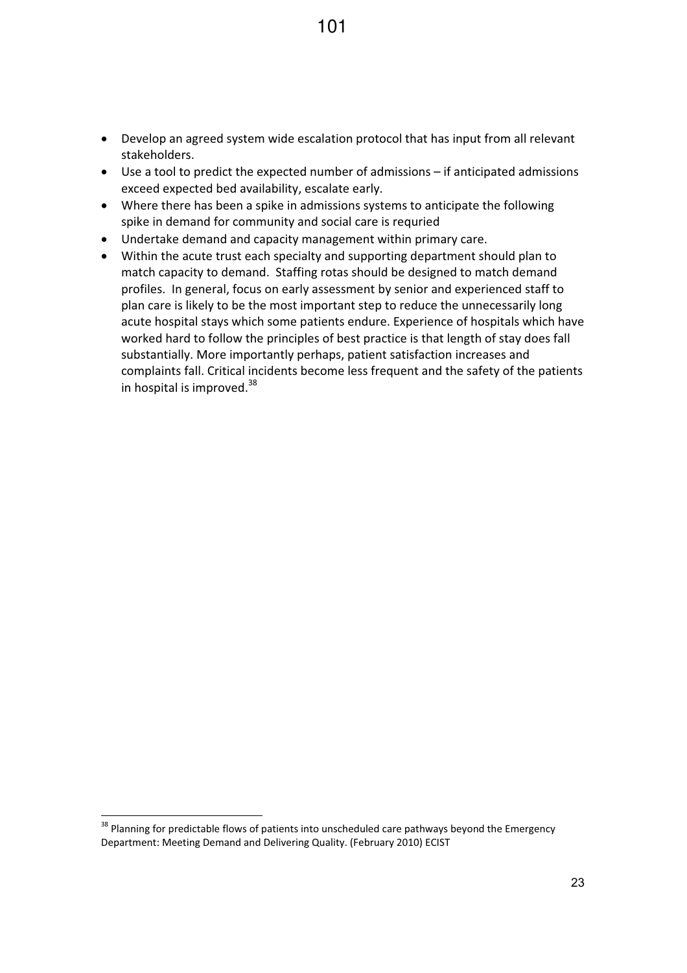- Develop an agreed system wide escalation protocol that has input from all relevant stakeholders.
- $\bullet$  Use a tool to predict the expected number of admissions if anticipated admissions exceed expected bed availability, escalate early.
- Where there has been a spike in admissions systems to anticipate the following spike in demand for community and social care is requried
- Undertake demand and capacity management within primary care.
- Within the acute trust each specialty and supporting department should plan to match capacity to demand. Staffing rotas should be designed to match demand profiles. In general, focus on early assessment by senior and experienced staff to plan care is likely to be the most important step to reduce the unnecessarily long acute hospital stays which some patients endure. Experience of hospitals which have worked hard to follow the principles of best practice is that length of stay does fall substantially. More importantly perhaps, patient satisfaction increases and complaints fall. Critical incidents become less frequent and the safety of the patients in hospital is improved. $38$

<sup>&</sup>lt;sup>38</sup> Planning for predictable flows of patients into unscheduled care pathways beyond the Emergency Department: Meeting Demand and Delivering Quality. (February 2010) ECIST